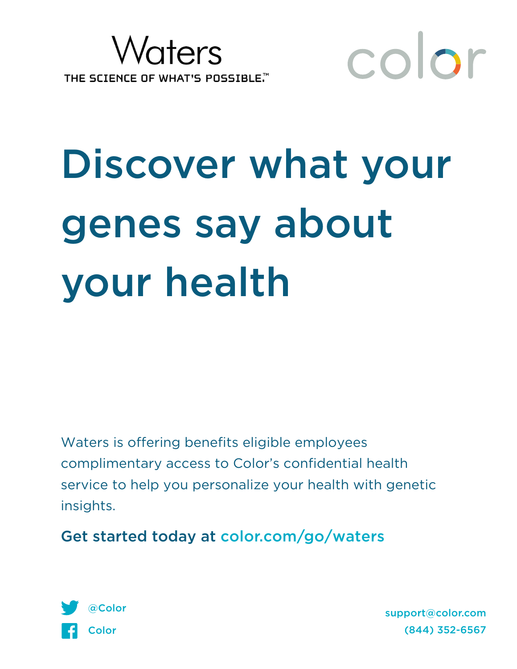



# Discover what your genes say about your health

Waters is offering benefits eligible employees complimentary access to Color's confidential health service to help you personalize your health with genetic insights.

Get started today at color.com/go/waters



support@color.com (844) 352-6567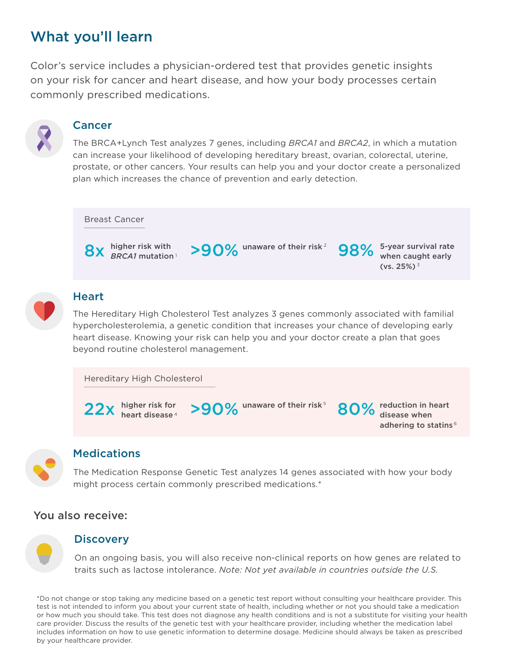# What you'll learn

Color's service includes a physician-ordered test that provides genetic insights on your risk for cancer and heart disease, and how your body processes certain commonly prescribed medications.



#### Cancer

The BRCA+Lynch Test analyzes 7 genes, including *BRCA1* and *BRCA2*, in which a mutation can increase your likelihood of developing hereditary breast, ovarian, colorectal, uterine, prostate, or other cancers. Your results can help you and your doctor create a personalized plan which increases the chance of prevention and early detection.





#### **Heart**

The Hereditary High Cholesterol Test analyzes 3 genes commonly associated with familial hypercholesterolemia, a genetic condition that increases your chance of developing early heart disease. Knowing your risk can help you and your doctor create a plan that goes beyond routine cholesterol management.

```
Hereditary High Cholesterol
```
higher risk for heart disease 4



>90% unaware of their risk<sup>5</sup>

80% reduction in heart<br>80% disease when disease when adhering to statins 6

#### **Medications**

The Medication Response Genetic Test analyzes 14 genes associated with how your body might process certain commonly prescribed medications.\*

### You also receive:

#### **Discovery**

On an ongoing basis, you will also receive non-clinical reports on how genes are related to traits such as lactose intolerance. *Note: Not yet available in countries outside the U.S.*

\*Do not change or stop taking any medicine based on a genetic test report without consulting your healthcare provider. This test is not intended to inform you about your current state of health, including whether or not you should take a medication or how much you should take. This test does not diagnose any health conditions and is not a substitute for visiting your health care provider. Discuss the results of the genetic test with your healthcare provider, including whether the medication label includes information on how to use genetic information to determine dosage. Medicine should always be taken as prescribed by your healthcare provider.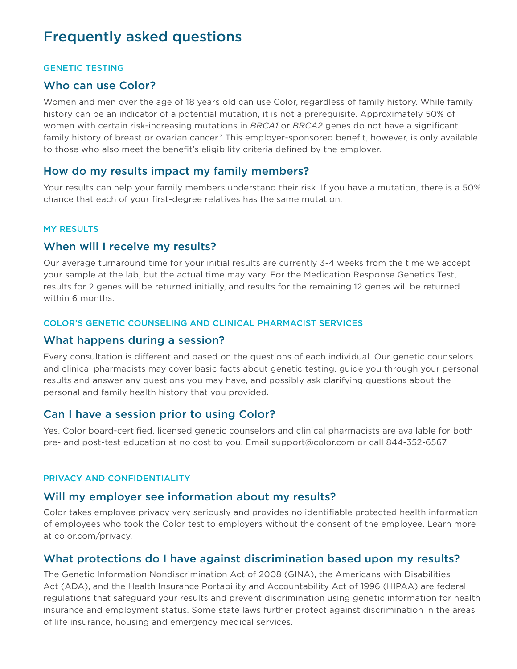# Frequently asked questions

#### GENETIC TESTING

#### Who can use Color?

Women and men over the age of 18 years old can use Color, regardless of family history. While family history can be an indicator of a potential mutation, it is not a prerequisite. Approximately 50% of women with certain risk-increasing mutations in *BRCA1* or *BRCA2* genes do not have a significant family history of breast or ovarian cancer.<sup>7</sup> This employer-sponsored benefit, however, is only available to those who also meet the benefit's eligibility criteria defined by the employer.

#### How do my results impact my family members?

Your results can help your family members understand their risk. If you have a mutation, there is a 50% chance that each of your first-degree relatives has the same mutation.

#### MY RESULTS

#### When will I receive my results?

Our average turnaround time for your initial results are currently 3-4 weeks from the time we accept your sample at the lab, but the actual time may vary. For the Medication Response Genetics Test, results for 2 genes will be returned initially, and results for the remaining 12 genes will be returned within 6 months.

#### COLOR'S GENETIC COUNSELING AND CLINICAL PHARMACIST SERVICES

#### What happens during a session?

Every consultation is different and based on the questions of each individual. Our genetic counselors and clinical pharmacists may cover basic facts about genetic testing, guide you through your personal results and answer any questions you may have, and possibly ask clarifying questions about the personal and family health history that you provided.

#### Can I have a session prior to using Color?

Yes. Color board-certified, licensed genetic counselors and clinical pharmacists are available for both pre- and post-test education at no cost to you. Email support@color.com or call 844-352-6567.

#### PRIVACY AND CONFIDENTIALITY

#### Will my employer see information about my results?

Color takes employee privacy very seriously and provides no identifiable protected health information of employees who took the Color test to employers without the consent of the employee. Learn more at color.com/privacy.

#### What protections do I have against discrimination based upon my results?

The Genetic Information Nondiscrimination Act of 2008 (GINA), the Americans with Disabilities Act (ADA), and the Health Insurance Portability and Accountability Act of 1996 (HIPAA) are federal regulations that safeguard your results and prevent discrimination using genetic information for health insurance and employment status. Some state laws further protect against discrimination in the areas of life insurance, housing and emergency medical services.